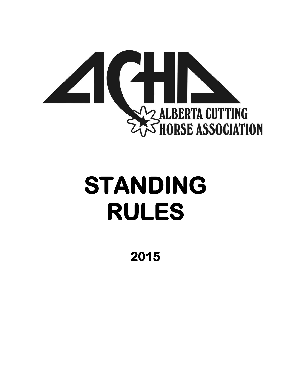

# **STANDING RULES**

**2015**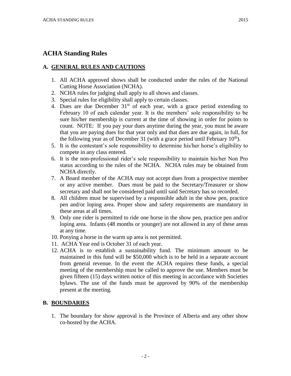## **ACHA Standing Rules**

## **A. GENERAL RULES AND CAUTIONS**

- 1. All ACHA approved shows shall be conducted under the rules of the National Cutting Horse Association (NCHA).
- 2. NCHA rules for judging shall apply to all shows and classes.
- 3. Special rules for eligibility shall apply to certain classes.
- 4. Dues are due December  $31<sup>st</sup>$  of each year, with a grace period extending to February 10 of each calendar year. It is the members' sole responsibility to be sure his/her membership is current at the time of showing in order for points to count. NOTE: If you pay your dues anytime during the year, you must be aware that you are paying dues for that year only and that dues are due again, in full, for the following year as of December 31 (with a grace period until February  $10<sup>th</sup>$ ).
- 5. It is the contestant's sole responsibility to determine his/her horse's eligibility to compete in any class entered.
- 6. It is the non-professional rider's sole responsibility to maintain his/her Non Pro status according to the rules of the NCHA. NCHA rules may be obtained from NCHA directly.
- 7. A Board member of the ACHA may not accept dues from a prospective member or any active member. Dues must be paid to the Secretary/Treasurer or show secretary and shall not be considered paid until said Secretary has so recorded.
- 8. All children must be supervised by a responsible adult in the show pen, practice pen and/or loping area. Proper show and safety requirements are mandatory in these areas at all times.
- 9. Only one rider is permitted to ride one horse in the show pen, practice pen and/or loping area. Infants (48 months or younger) are not allowed in any of these areas at any time.
- 10. Ponying a horse in the warm up area is not permitted.
- 11. ACHA Year end is October 31 of each year.
- 12. ACHA is to establish a sustainability fund. The minimum amount to be maintained in this fund will be \$50,000 which is to be held in a separate account from general revenue. In the event the ACHA requires these funds, a special meeting of the membership must be called to approve the use. Members must be given fifteen (15) days written notice of this meeting in accordance with Societies bylaws. The use of the funds must be approved by 90% of the membership present at the meeting.

## **B. BOUNDARIES**

1. The boundary for show approval is the Province of Alberta and any other show co-hosted by the ACHA.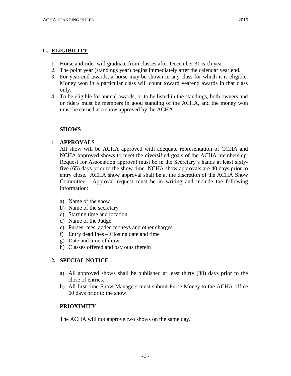## **C. ELIGIBILITY**

- 1. Horse and rider will graduate from classes after December 31 each year.
- 2. The point year (standings year) begins immediately after the calendar year end.
- 3. For year-end awards, a horse may be shown in any class for which it is eligible. Money won in a particular class will count toward yearend awards in that class only.
- 4. To be eligible for annual awards, or to be listed in the standings, both owners and or riders must be members in good standing of the ACHA, and the money won must be earned at a show approved by the ACHA.

## **SHOWS**

#### 1. **APPROVALS**

All show will be ACHA approved with adequate representation of CCHA and NCHA approved shows to meet the diversified goals of the ACHA membership. Request for Association approval must be in the Secretary's hands at least sixtyfive (65) days prior to the show time. NCHA show approvals are 40 days prior to entry close. ACHA show approval shall be at the discretion of the ACHA Show Committee. Approval request must be in writing and include the following information:

- a) Name of the show
- b) Name of the secretary
- c) Starting time and location
- d) Name of the Judge
- e) Purses, fees, added moneys and other charges
- f) Entry deadlines Closing date and time
- g) Date and time of draw
- h) Classes offered and pay outs therein

## **2. SPECIAL NOTICE**

- a) All approved shows shall be published at least thirty (30) days prior to the close of entries.
- b) All first time Show Managers must submit Purse Money to the ACHA office 60 days prior to the show.

## **PRIOXIMITY**

The ACHA will not approve two shows on the same day.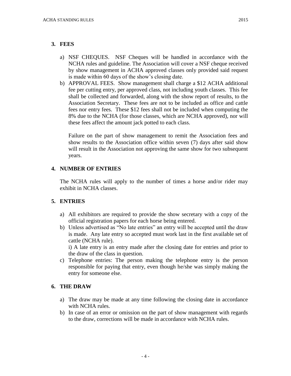#### **3. FEES**

- a) NSF CHEQUES. NSF Cheques will be handled in accordance with the NCHA rules and guideline. The Association will cover a NSF cheque received by show management in ACHA approved classes only provided said request is made within 60 days of the show's closing date.
- b) APPROVAL FEES. Show management shall charge a \$12 ACHA additional fee per cutting entry, per approved class, not including youth classes. This fee shall be collected and forwarded, along with the show report of results, to the Association Secretary. These fees are not to be included as office and cattle fees nor entry fees. These \$12 fees shall not be included when computing the 8% due to the NCHA (for those classes, which are NCHA approved), nor will these fees affect the amount jack potted to each class.

Failure on the part of show management to remit the Association fees and show results to the Association office within seven (7) days after said show will result in the Association not approving the same show for two subsequent years.

## **4. NUMBER OF ENTRIES**

The NCHA rules will apply to the number of times a horse and/or rider may exhibit in NCHA classes.

## **5. ENTRIES**

- a) All exhibitors are required to provide the show secretary with a copy of the official registration papers for each horse being entered.
- b) Unless advertised as "No late entries" an entry will be accepted until the draw is made. Any late entry so accepted must work last in the first available set of cattle (NCHA rule).

i) A late entry is an entry made after the closing date for entries and prior to the draw of the class in question.

c) Telephone entries: The person making the telephone entry is the person responsible for paying that entry, even though he/she was simply making the entry for someone else.

#### **6. THE DRAW**

- a) The draw may be made at any time following the closing date in accordance with NCHA rules.
- b) In case of an error or omission on the part of show management with regards to the draw, corrections will be made in accordance with NCHA rules.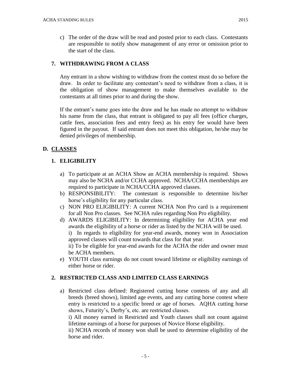c) The order of the draw will be read and posted prior to each class. Contestants are responsible to notify show management of any error or omission prior to the start of the class.

## **7. WITHDRAWING FROM A CLASS**

Any entrant in a show wishing to withdraw from the contest must do so before the draw. In order to facilitate any contestant's need to withdraw from a class, it is the obligation of show management to make themselves available to the contestants at all times prior to and during the show.

If the entrant's name goes into the draw and he has made no attempt to withdraw his name from the class, that entrant is obligated to pay all fees (office charges, cattle fees, association fees and entry fees) as his entry fee would have been figured in the payout. If said entrant does not meet this obligation, he/she may be denied privileges of membership.

## **D. CLASSES**

## **1. ELIGIBILITY**

- a) To participate at an ACHA Show an ACHA membership is required. Shows may also be NCHA and/or CCHA approved. NCHA/CCHA memberships are required to participate in NCHA/CCHA approved classes.
- b) RESPONSIBILITY: The contestant is responsible to determine his/her horse's eligibility for any particular class.
- c) NON PRO ELIGIBILITY: A current NCHA Non Pro card is a requirement for all Non Pro classes. See NCHA rules regarding Non Pro eligibility.
- d) AWARDS ELIGIBILITY: In determining eligibility for ACHA year end awards the eligibility of a horse or rider as listed by the NCHA will be used. i) In regards to eligibility for year-end awards, money won in Association approved classes will count towards that class for that year. ii) To be eligible for year-end awards for the ACHA the rider and owner must be ACHA members.
- e) YOUTH class earnings do not count toward lifetime or eligibility earnings of either horse or rider.

## **2. RESTRICTED CLASS AND LIMITED CLASS EARNINGS**

a) Restricted class defined: Registered cutting horse contests of any and all breeds (breed shows), limited age events, and any cutting horse contest where entry is restricted to a specific breed or age of horses. AQHA cutting horse shows, Futurity's, Derby's, etc. are restricted classes.

i) All money earned in Restricted and Youth classes shall not count against lifetime earnings of a horse for purposes of Novice Horse eligibility.

ii) NCHA records of money won shall be used to determine eligibility of the horse and rider.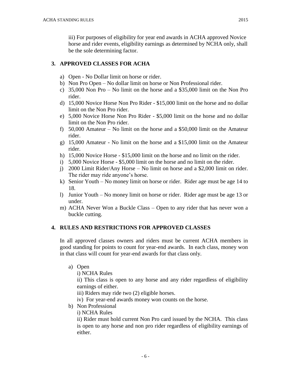iii) For purposes of eligibility for year end awards in ACHA approved Novice horse and rider events, eligibility earnings as determined by NCHA only, shall be the sole determining factor.

## **3. APPROVED CLASSES FOR ACHA**

- a) Open No Dollar limit on horse or rider.
- b) Non Pro Open No dollar limit on horse or Non Professional rider.
- c) 35,000 Non Pro No limit on the horse and a \$35,000 limit on the Non Pro rider.
- d) 15,000 Novice Horse Non Pro Rider \$15,000 limit on the horse and no dollar limit on the Non Pro rider.
- e) 5,000 Novice Horse Non Pro Rider \$5,000 limit on the horse and no dollar limit on the Non Pro rider.
- f) 50,000 Amateur No limit on the horse and a \$50,000 limit on the Amateur rider.
- g) 15,000 Amateur No limit on the horse and a \$15,000 limit on the Amateur rider.
- h) 15,000 Novice Horse \$15,000 limit on the horse and no limit on the rider.
- i) 5,000 Novice Horse \$5,000 limit on the horse and no limit on the rider.
- j) 2000 Limit Rider/Any Horse No limit on horse and a \$2,000 limit on rider. The rider may ride anyone's horse.
- k) Senior Youth No money limit on horse or rider. Rider age must be age 14 to 18.
- l) Junior Youth No money limit on horse or rider. Rider age must be age 13 or under.
- m) ACHA Never Won a Buckle Class Open to any rider that has never won a buckle cutting.

## **4. RULES AND RESTRICTIONS FOR APPROVED CLASSES**

In all approved classes owners and riders must be current ACHA members in good standing for points to count for year-end awards. In each class, money won in that class will count for year-end awards for that class only.

a) Open

i) NCHA Rules

ii) This class is open to any horse and any rider regardless of eligibility earnings of either.

- iii) Riders may ride two (2) eligible horses.
- iv) For year-end awards money won counts on the horse.
- b) Non Professional
	- i) NCHA Rules

ii) Rider must hold current Non Pro card issued by the NCHA. This class is open to any horse and non pro rider regardless of eligibility earnings of either.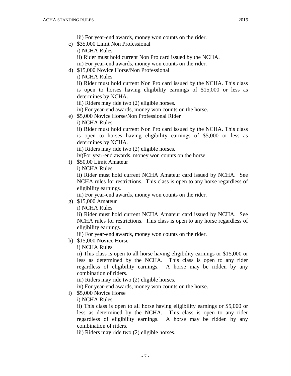- iii) For year-end awards, money won counts on the rider.
- c) \$35,000 Limit Non Professional
	- i) NCHA Rules
	- ii) Rider must hold current Non Pro card issued by the NCHA.

iii) For year-end awards, money won counts on the rider.

d) \$15,000 Novice Horse/Non Professional

i) NCHA Rules

ii) Rider must hold current Non Pro card issued by the NCHA. This class is open to horses having eligibility earnings of \$15,000 or less as determines by NCHA.

- iii) Riders may ride two (2) eligible horses.
- iv) For year-end awards, money won counts on the horse.
- e) \$5,000 Novice Horse/Non Professional Rider
	- i) NCHA Rules

ii) Rider must hold current Non Pro card issued by the NCHA. This class is open to horses having eligibility earnings of \$5,000 or less as determines by NCHA.

iii) Riders may ride two (2) eligible horses.

iv)For year-end awards, money won counts on the horse.

f) \$50,00 Limit Amateur

i) NCHA Rules

ii) Rider must hold current NCHA Amateur card issued by NCHA. See NCHA rules for restrictions. This class is open to any horse regardless of eligibility earnings.

iii) For year-end awards, money won counts on the rider.

g) \$15,000 Amateur

i) NCHA Rules

ii) Rider must hold current NCHA Amateur card issued by NCHA. See NCHA rules for restrictions. This class is open to any horse regardless of eligibility earnings.

iii) For year-end awards, money won counts on the rider.

h) \$15,000 Novice Horse

i) NCHA Rules

ii) This class is open to all horse having eligibility earnings or \$15,000 or less as determined by the NCHA. This class is open to any rider regardless of eligibility earnings. A horse may be ridden by any combination of riders.

iii) Riders may ride two (2) eligible horses.

iv) For year-end awards, money won counts on the horse.

- i) \$5,000 Novice Horse
	- i) NCHA Rules

ii) This class is open to all horse having eligibility earnings or \$5,000 or less as determined by the NCHA. This class is open to any rider regardless of eligibility earnings. A horse may be ridden by any combination of riders.

iii) Riders may ride two (2) eligible horses.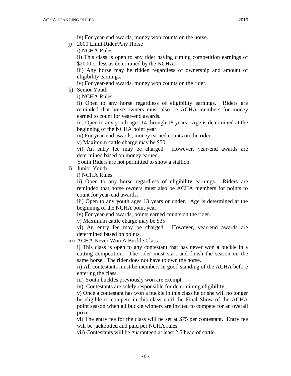- j) 2000 Limit Rider/Any Horse
	- i) NCHA Rules

ii) This class is open to any rider having cutting competition earnings of \$2000 or less as determined by the NCHA.

iii) Any horse may be ridden regardless of ownership and amount of eligibility earnings.

iv) For year-end awards, money won counts on the rider.

k) Senior Youth

i) NCHA Rules

ii) Open to any horse regardless of eligibility earnings. Riders are reminded that horse owners must also be ACHA members for money earned to count for year-end awards.

iii) Open to any youth ages 14 through 18 years. Age is determined at the beginning of the NCHA point year.

iv) For year-end awards, money earned counts on the rider.

v) Maximum cattle charge may be \$50

vi) An entry fee may be charged. However, year-end awards are determined based on money earned.

Youth Riders are not permitted to show a stallion.

l) Junior Youth

i) NCHA Rules

ii) Open to any horse regardless of eligibility earnings. Riders are reminded that horse owners must also be ACHA members for points to count for year-end awards.

iii) Open to any youth ages 13 years or under. Age is determined at the beginning of the NCHA point year.

iv) For year-end awards, points earned counts on the rider.

v) Maximum cattle charge may be \$35

vi) An entry fee may be charged. However, year-end awards are determined based on points.

m) ACHA Never Won A Buckle Class

i) This class is open to any contestant that has never won a buckle in a cutting competition. The rider must start and finish the season on the same horse. The rider does not have to own the horse.

ii) All contestants must be members in good standing of the ACHA before entering the class.

iii) Youth buckles previously won are exempt.

iv) Contestants are solely responsible for determining eligibility.

v) Once a contestant has won a buckle in this class he or she will no longer be eligible to compete in this class until the Final Show of the ACHA point season when all buckle winners are invited to compete for an overall prize.

vi) The entry fee for the class will be set at \$75 per contestant. Entry fee will be jackpotted and paid per NCHA rules.

vii) Contestants will be guaranteed at least 2.5 head of cattle.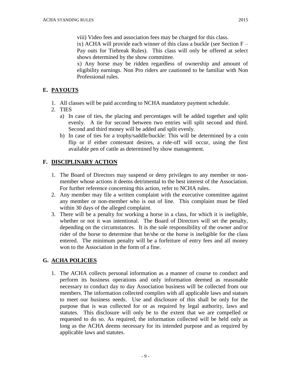ix) ACHA will provide each winner of this class a buckle (see Section F – Pay outs for Tiebreak Rules). This class will only be offered at select shows determined by the show committee.

x) Any horse may be ridden regardless of ownership and amount of eligibility earnings. Non Pro riders are cautioned to be familiar with Non Professional rules.

## **E. PAYOUTS**

- 1. All classes will be paid according to NCHA mandatory payment schedule.
- 2. TIES
	- a) In case of ties, the placing and percentages will be added together and split evenly. A tie for second between two entries will split second and third. Second and third money will be added and split evenly.
	- b) In case of ties for a trophy/saddle/buckle: This will be determined by a coin flip or if either contestant desires, a ride-off will occur, using the first available pen of cattle as determined by show management.

## **F. DISCIPLINARY ACTION**

- 1. The Board of Directors may suspend or deny privileges to any member or nonmember whose actions it deems detrimental to the best interest of the Association. For further reference concerning this action, refer to NCHA rules.
- 2. Any member may file a written complaint with the executive committee against any member or non-member who is out of line. This complaint must be filed within 30 days of the alleged complaint.
- 3. There will be a penalty for working a horse in a class, for which it is ineligible, whether or not it was intentional. The Board of Directors will set the penalty, depending on the circumstances. It is the sole responsibility of the owner and/or rider of the horse to determine that he/she or the horse is ineligible for the class entered. The minimum penalty will be a forfeiture of entry fees and all money won to the Association in the form of a fine.

## **G. ACHA POLICIES**

1. The ACHA collects personal information as a manner of course to conduct and perform its business operations and only information deemed as reasonable necessary to conduct day to day Association business will be collected from our members. The information collected complies with all applicable laws and statues to meet our business needs. Use and disclosure of this shall be only for the purpose that is was collected for or as required by legal authority, laws and statutes. This disclosure will only be to the extent that we are compelled or requested to do so. As required, the information collected will be held only as long as the ACHA deems necessary for its intended purpose and as required by applicable laws and statutes.